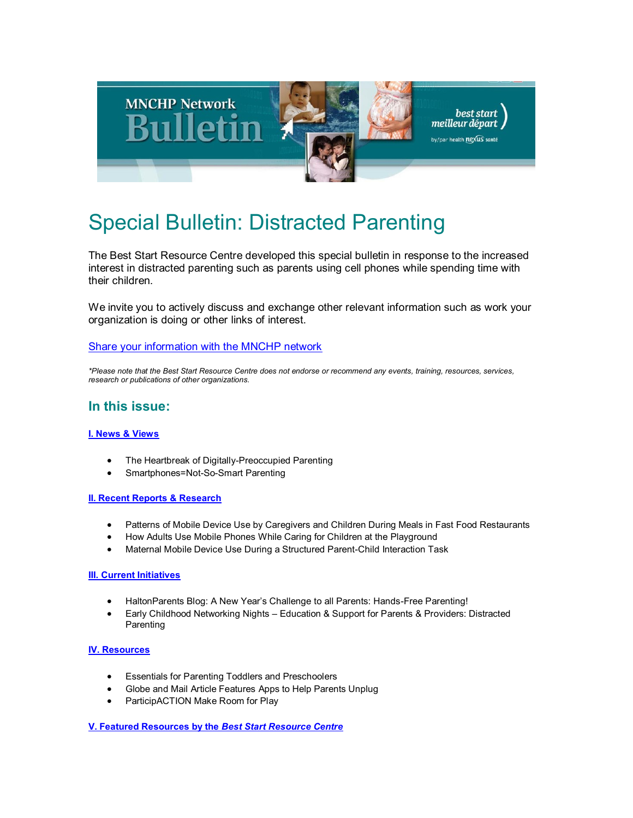

# Special Bulletin: Distracted Parenting

The Best Start Resource Centre developed this special bulletin in response to the increased interest in distracted parenting such as parents using cell phones while spending time with their children.

We invite you to actively discuss and exchange other relevant information such as work your organization is doing or other links of interest.

#### [Share your information with the MNCHP network](mailto:%20mnchp@healthnexus.ca)

*\*Please note that the Best Start Resource Centre does not endorse or recommend any events, training, resources, services, research or publications of other organizations.*

### **In this issue:**

#### **[I. News & Views](file:///C:/Users/meghanbm/AppData/Local/Microsoft/Windows/Temporary%20Internet%20Files/Content.Outlook/5Z16AXZN/Oct_31_2016_Distracted_Parenting.html%23I.%2520News%2520&%2520Views)**

- The Heartbreak of Digitally-Preoccupied Parenting
- Smartphones=Not-So-Smart Parenting

#### **[II. Recent Reports & Research](file:///C:/Users/meghanbm/AppData/Local/Microsoft/Windows/Temporary%20Internet%20Files/Content.Outlook/5Z16AXZN/Oct_31_2016_Distracted_Parenting.html%23II.%2520Recent%2520Reports%2520&%2520Research)**

- Patterns of Mobile Device Use by Caregivers and Children During Meals in Fast Food Restaurants
- How Adults Use Mobile Phones While Caring for Children at the Playground
- Maternal Mobile Device Use During a Structured Parent-Child Interaction Task

#### **[III. Current Initiatives](file:///C:/Users/meghanbm/AppData/Local/Microsoft/Windows/Temporary%20Internet%20Files/Content.Outlook/5Z16AXZN/Oct_31_2016_Distracted_Parenting.html%23III.%2520Current%2520Initiatives)**

- HaltonParents Blog: A New Year's Challenge to all Parents: Hands-Free Parenting!
- Early Childhood Networking Nights Education & Support for Parents & Providers: Distracted **Parenting**

#### **[IV. Resources](file:///C:/Users/meghanbm/AppData/Local/Microsoft/Windows/Temporary%20Internet%20Files/Content.Outlook/5Z16AXZN/Oct_31_2016_Distracted_Parenting.html%23IV.%2520Resources)**

- Essentials for Parenting Toddlers and Preschoolers
- Globe and Mail Article Features Apps to Help Parents Unplug
- ParticipACTION Make Room for Play

**[V. Featured Resources by the](file:///C:/Users/meghanbm/AppData/Local/Microsoft/Windows/Temporary%20Internet%20Files/Content.Outlook/5Z16AXZN/Oct_31_2016_Distracted_Parenting.html%23Best%2520Start%2520Resources)** *Best Start Resource Centre*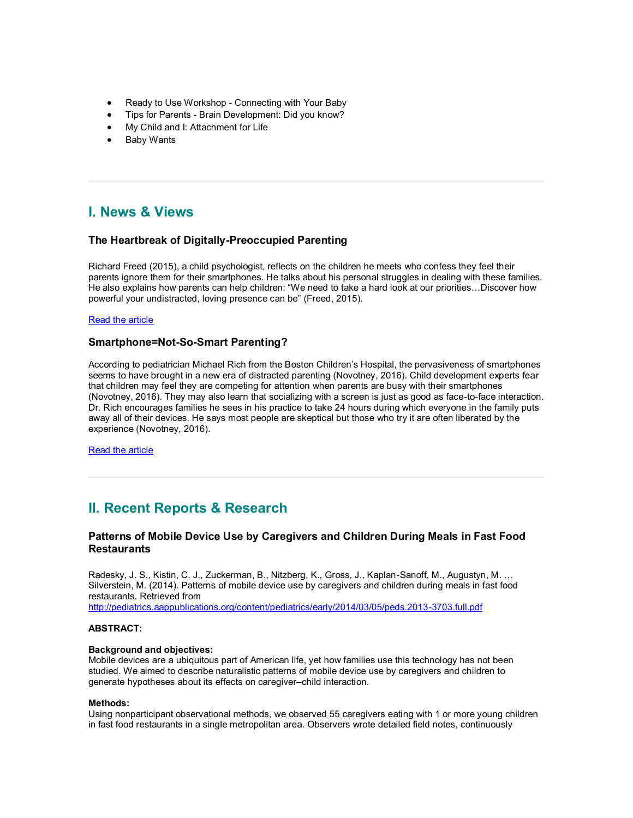- Ready to Use Workshop Connecting with Your Baby
- Tips for Parents Brain Development: Did you know?
- My Child and I: Attachment for Life
- Baby Wants

# **I. News & Views**

#### **The Heartbreak of Digitally-Preoccupied Parenting**

Richard Freed (2015), a child psychologist, reflects on the children he meets who confess they feel their parents ignore them for their smartphones. He talks about his personal struggles in dealing with these families. He also explains how parents can help children: "We need to take a hard look at our priorities…Discover how powerful your undistracted, loving presence can be" (Freed, 2015).

#### [Read the article](http://www.huffingtonpost.com/richard-freed/the-heartbreak-of-digital_b_8156634.html)

#### **Smartphone=Not-So-Smart Parenting?**

According to pediatrician Michael Rich from the Boston Children's Hospital, the pervasiveness of smartphones seems to have brought in a new era of distracted parenting (Novotney, 2016). Child development experts fear that children may feel they are competing for attention when parents are busy with their smartphones (Novotney, 2016). They may also learn that socializing with a screen is just as good as face-to-face interaction. Dr. Rich encourages families he sees in his practice to take 24 hours during which everyone in the family puts away all of their devices. He says most people are skeptical but those who try it are often liberated by the experience (Novotney, 2016).

[Read the article](http://www.apa.org/monitor/2016/02/smartphone.aspx)

# **II. Recent Reports & Research**

#### **Patterns of Mobile Device Use by Caregivers and Children During Meals in Fast Food Restaurants**

Radesky, J. S., Kistin, C. J., Zuckerman, B., Nitzberg, K., Gross, J., Kaplan-Sanoff, M., Augustyn, M. … Silverstein, M. (2014). Patterns of mobile device use by caregivers and children during meals in fast food restaurants. Retrieved from

<http://pediatrics.aappublications.org/content/pediatrics/early/2014/03/05/peds.2013-3703.full.pdf>

#### **ABSTRACT:**

#### **Background and objectives:**

Mobile devices are a ubiquitous part of American life, yet how families use this technology has not been studied. We aimed to describe naturalistic patterns of mobile device use by caregivers and children to generate hypotheses about its effects on caregiver–child interaction.

#### **Methods:**

Using nonparticipant observational methods, we observed 55 caregivers eating with 1 or more young children in fast food restaurants in a single metropolitan area. Observers wrote detailed field notes, continuously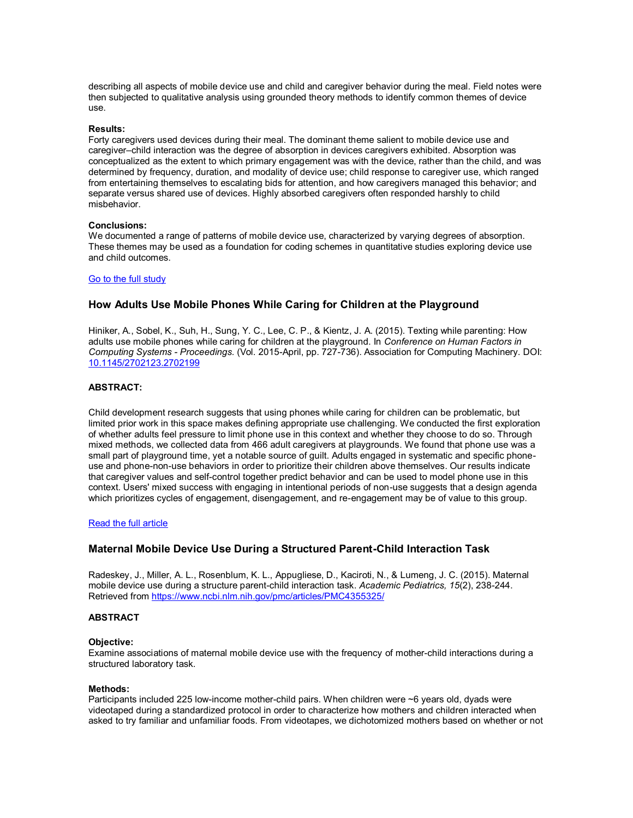describing all aspects of mobile device use and child and caregiver behavior during the meal. Field notes were then subjected to qualitative analysis using grounded theory methods to identify common themes of device use.

#### **Results:**

Forty caregivers used devices during their meal. The dominant theme salient to mobile device use and caregiver–child interaction was the degree of absorption in devices caregivers exhibited. Absorption was conceptualized as the extent to which primary engagement was with the device, rather than the child, and was determined by frequency, duration, and modality of device use; child response to caregiver use, which ranged from entertaining themselves to escalating bids for attention, and how caregivers managed this behavior; and separate versus shared use of devices. Highly absorbed caregivers often responded harshly to child misbehavior.

#### **Conclusions:**

We documented a range of patterns of mobile device use, characterized by varying degrees of absorption. These themes may be used as a foundation for coding schemes in quantitative studies exploring device use and child outcomes.

#### [Go to the full study](http://pediatrics.aappublications.org/content/pediatrics/early/2014/03/05/peds.2013-3703.full.pdf)

#### **How Adults Use Mobile Phones While Caring for Children at the Playground**

Hiniker, A., Sobel, K., Suh, H., Sung, Y. C., Lee, C. P., & Kientz, J. A. (2015). Texting while parenting: How adults use mobile phones while caring for children at the playground. In *Conference on Human Factors in Computing Systems - Proceedings.* (Vol. 2015-April, pp. 727-736). Association for Computing Machinery. DOI: [10.1145/2702123.2702199](http://dx.doi.org/10.1145/2702123.2702199)

#### **ABSTRACT:**

Child development research suggests that using phones while caring for children can be problematic, but limited prior work in this space makes defining appropriate use challenging. We conducted the first exploration of whether adults feel pressure to limit phone use in this context and whether they choose to do so. Through mixed methods, we collected data from 466 adult caregivers at playgrounds. We found that phone use was a small part of playground time, yet a notable source of guilt. Adults engaged in systematic and specific phoneuse and phone-non-use behaviors in order to prioritize their children above themselves. Our results indicate that caregiver values and self-control together predict behavior and can be used to model phone use in this context. Users' mixed success with engaging in intentional periods of non-use suggests that a design agenda which prioritizes cycles of engagement, disengagement, and re-engagement may be of value to this group.

#### [Read the full article](https://dub.washington.edu/djangosite/media/papers/Hiniker-Texting-CHI2015.pdf)

#### **Maternal Mobile Device Use During a Structured Parent-Child Interaction Task**

Radeskey, J., Miller, A. L., Rosenblum, K. L., Appugliese, D., Kaciroti, N., & Lumeng, J. C. (2015). Maternal mobile device use during a structure parent-child interaction task. *Academic Pediatrics, 15*(2), 238-244. Retrieved from<https://www.ncbi.nlm.nih.gov/pmc/articles/PMC4355325/>

#### **ABSTRACT**

#### **Objective:**

Examine associations of maternal mobile device use with the frequency of mother-child interactions during a structured laboratory task.

#### **Methods:**

Participants included 225 low-income mother-child pairs. When children were ~6 years old, dyads were videotaped during a standardized protocol in order to characterize how mothers and children interacted when asked to try familiar and unfamiliar foods. From videotapes, we dichotomized mothers based on whether or not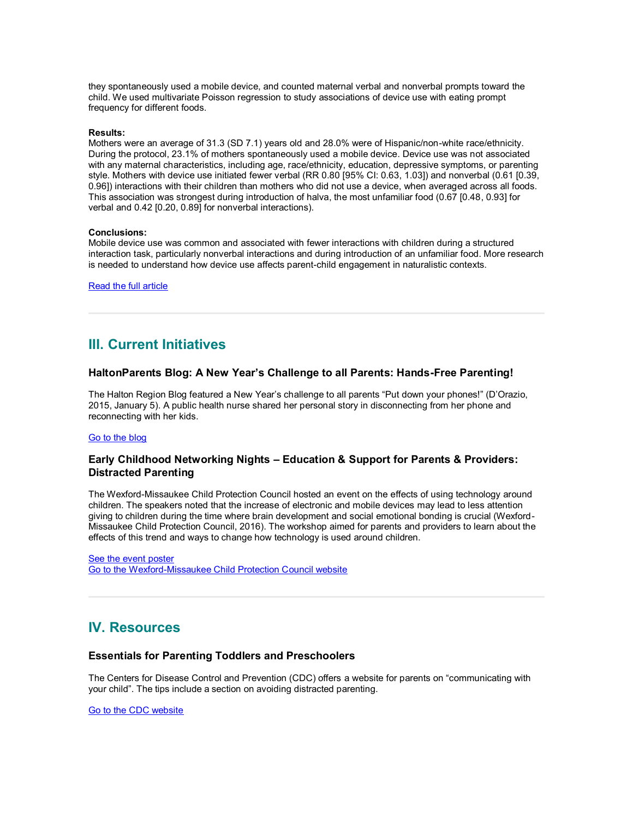they spontaneously used a mobile device, and counted maternal verbal and nonverbal prompts toward the child. We used multivariate Poisson regression to study associations of device use with eating prompt frequency for different foods.

#### **Results:**

Mothers were an average of 31.3 (SD 7.1) years old and 28.0% were of Hispanic/non-white race/ethnicity. During the protocol, 23.1% of mothers spontaneously used a mobile device. Device use was not associated with any maternal characteristics, including age, race/ethnicity, education, depressive symptoms, or parenting style. Mothers with device use initiated fewer verbal (RR 0.80 [95% CI: 0.63, 1.03]) and nonverbal (0.61 [0.39, 0.96]) interactions with their children than mothers who did not use a device, when averaged across all foods. This association was strongest during introduction of halva, the most unfamiliar food (0.67 [0.48, 0.93] for verbal and 0.42 [0.20, 0.89] for nonverbal interactions).

#### **Conclusions:**

Mobile device use was common and associated with fewer interactions with children during a structured interaction task, particularly nonverbal interactions and during introduction of an unfamiliar food. More research is needed to understand how device use affects parent-child engagement in naturalistic contexts.

[Read the full article](https://www.ncbi.nlm.nih.gov/pmc/articles/PMC4355325/)

### **III. Current Initiatives**

#### **HaltonParents Blog: A New Year's Challenge to all Parents: Hands-Free Parenting!**

The Halton Region Blog featured a New Year's challenge to all parents "Put down your phones!" (D'Orazio, 2015, January 5). A public health nurse shared her personal story in disconnecting from her phone and reconnecting with her kids.

#### [Go to the blog](https://haltonparentsblog.ca/2015/01/05/a-new-years-challenge-to-all-parents-hands-free-parenting/)

#### **Early Childhood Networking Nights – Education & Support for Parents & Providers: Distracted Parenting**

The Wexford-Missaukee Child Protection Council hosted an event on the effects of using technology around children. The speakers noted that the increase of electronic and mobile devices may lead to less attention giving to children during the time where brain development and social emotional bonding is crucial (Wexford-Missaukee Child Protection Council, 2016). The workshop aimed for parents and providers to learn about the effects of this trend and ways to change how technology is used around children.

[See the event poster](http://www.greatstartforkids.com/ECNN_Distracted_Parenting_May_2016__1_.pdf) [Go to the Wexford-Missaukee Child Protection Council website](http://www.wexfordmissaukeecpc.com/)

### **IV. Resources**

#### **Essentials for Parenting Toddlers and Preschoolers**

The Centers for Disease Control and Prevention (CDC) offers a website for parents on "communicating with your child". The tips include a section on avoiding distracted parenting.

[Go to the CDC website](http://www.cdc.gov/parents/essentials/communication/)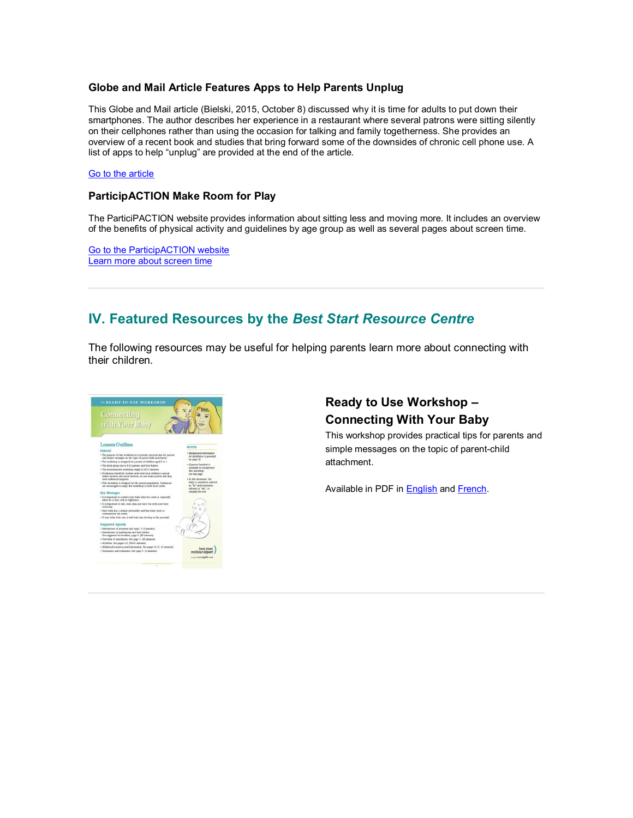#### **Globe and Mail Article Features Apps to Help Parents Unplug**

This Globe and Mail article (Bielski, 2015, October 8) discussed why it is time for adults to put down their smartphones. The author describes her experience in a restaurant where several patrons were sitting silently on their cellphones rather than using the occasion for talking and family togetherness. She provides an overview of a recent book and studies that bring forward some of the downsides of chronic cell phone use. A list of apps to help "unplug" are provided at the end of the article.

#### [Go to the article](http://www.theglobeandmail.com/life/relationships/connected-to-our-phones-but-disconnected-from-each-other/article26715937/)

#### **ParticipACTION Make Room for Play**

The ParticiPACTION website provides information about sitting less and moving more. It includes an overview of the benefits of physical activity and guidelines by age group as well as several pages about screen time.

[Go to the ParticipACTION website](https://www.participaction.com/make-room-for-play-2?q=var/www/html/www.participaction.com/make-room-for-play-2/) [Learn more about screen time](https://www.participaction.com/en-ca/search/results?q=screen%20time)

# **IV. Featured Resources by the** *Best Start Resource Centre*

The following resources may be useful for helping parents learn more about connecting with their children.



### **Ready to Use Workshop – Connecting With Your Baby**

This workshop provides practical tips for parents and simple messages on the topic of parent-child attachment.

Available in PDF in **English** and **French**.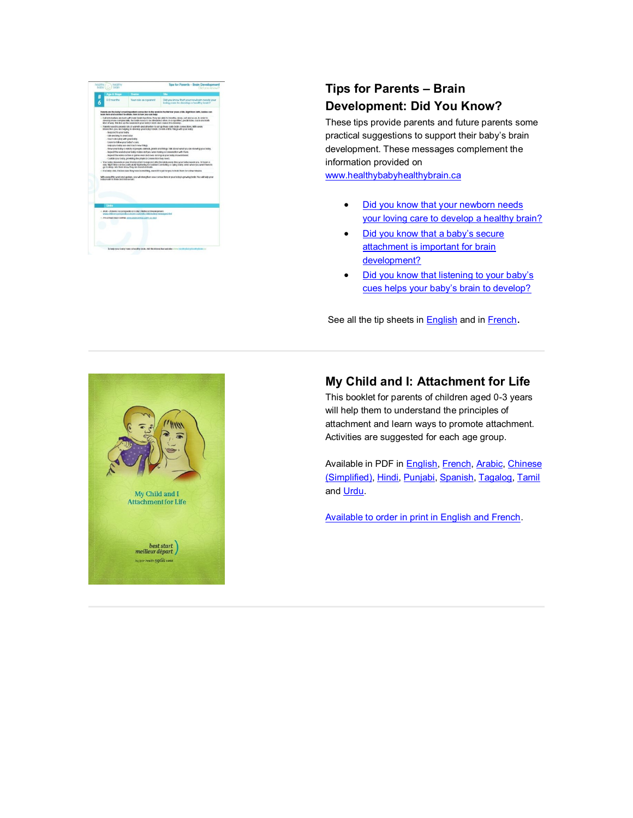

# **Tips for Parents – Brain Development: Did You Know?**

These tips provide parents and future parents some practical suggestions to support their baby's brain development. These messages complement the information provided on

[www.healthybabyhealthybrain.ca](http://www.healthybabyhealthybrain.ca/)

- Did you know that your newborn needs [your loving care to develop a healthy brain?](http://www.beststart.org/resources/hlthy_chld_dev/tips_brain_dev/HBHB_did_you_know_ENG_Tip6.pdf)
- Did you know that a baby's secure attachment is important for brain [development?](http://www.beststart.org/resources/hlthy_chld_dev/tips_brain_dev/HBHB_did_you_know_ENG_Tip7.pdf)
- Did you know that listening to your baby's [cues helps your baby's brain to develop?](http://www.beststart.org/resources/hlthy_chld_dev/tips_brain_dev/HBHB_did_you_know_ENG_Tip8.pdf)

See all the tip sheets in **English** and in **French**.



# **My Child and I: Attachment for Life**

This booklet for parents of children aged 0-3 years will help them to understand the principles of attachment and learn ways to promote attachment. Activities are suggested for each age group.

Available in PDF in **English, [French,](http://www.beststart.org/resources/hlthy_chld_dev/parent_attachment/Mon_enfant_Revised_2012.pdf) [Arabic,](http://www.beststart.org/resources/hlthy_chld_dev/parent_attachment/parent_attachment_Ara.pdf) [Chinese](http://www.beststart.org/resources/hlthy_chld_dev/parent_attachment/parent_attachment_zh.pdf)** [\(Simplified\),](http://www.beststart.org/resources/hlthy_chld_dev/parent_attachment/parent_attachment_zh.pdf) [Hindi,](http://www.beststart.org/resources/hlthy_chld_dev/parent_attachment/parent_attachment_Hindi.pdf) [Punjabi,](http://www.beststart.org/resources/hlthy_chld_dev/parent_attachment/parent_attachment_Punjabi.pdf) [Spanish,](http://www.beststart.org/resources/hlthy_chld_dev/parent_attachment/parent_attachment_SP_2012.pdf) [Tagalog,](http://www.meilleurdepart.org/resources/develop_enfants/parent_attachment/parent_attachment_filipino_2012.pdf) [Tamil](http://www.beststart.org/resources/hlthy_chld_dev/parent_attachment/parent_attachment_Tamil.pdf) and [Urdu.](http://www.beststart.org/resources/hlthy_chld_dev/parent_attachment/parent_attachment_Urdu.pdf)

[Available to order in print in English and French.](http://www.beststart.org/cgi-bin/commerce.cgi?search=action&category=K00E&advanced=yes&sortkey=sku&sortorder=descending)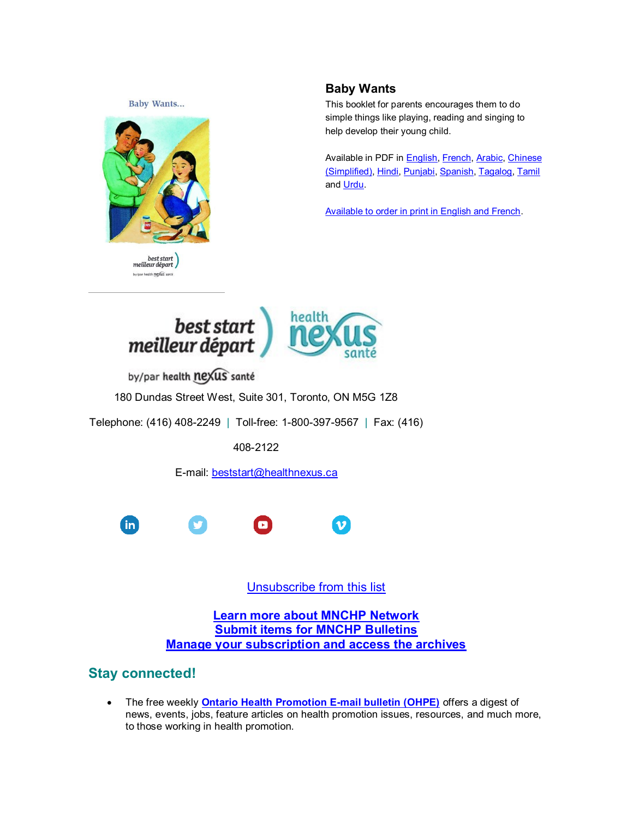**Baby Wants...** 



best start<br>| meilleur départ by/par health nexus santé

### **Baby Wants**

This booklet for parents encourages them to do simple things like playing, reading and singing to help develop their young child.

Available in PDF in **English, [French,](http://www.meilleurdepart.org/resources/develop_enfants/pdf/bebe_veut.pdf) [Arabic,](http://www.beststart.org/resources/hlthy_chld_dev/babywant/baby_want_Arabic.pdf) Chinese** [\(Simplified\),](http://www.beststart.org/resources/hlthy_chld_dev/babywant/baby_want_Chinese.pdf) [Hindi,](http://www.beststart.org/resources/hlthy_chld_dev/babywant/baby_want_Hindi.pdf) [Punjabi,](http://www.beststart.org/resources/hlthy_chld_dev/babywant/baby_want_Punjabi.pdf) [Spanish,](http://www.beststart.org/resources/hlthy_chld_dev/babywant/baby_want_Spanish.pdf) [Tagalog,](http://www.beststart.org/resources/hlthy_chld_dev/babywant/baby_want_Filipino.pdf) [Tamil](http://www.beststart.org/resources/hlthy_chld_dev/babywant/baby_want_Tamil.pdf) and [Urdu.](http://www.beststart.org/resources/hlthy_chld_dev/babywant/baby_want_Urdu.pdf)

[Available to order in print in English and French.](http://www.beststart.org/cgi-bin/commerce.cgi?search=action&category=K00E&advanced=yes&sortkey=sku&sortorder=descending)



by/par health nexus santé

180 Dundas Street West, Suite 301, Toronto, ON M5G 1Z8

Telephone: (416) 408-2249 | Toll-free: 1-800-397-9567 | Fax: (416)

408-2122

E-mail: [beststart@healthnexus.ca](mailto:beststart@healthnexus.ca?subject=Contact%20Us)



[Unsubscribe from this list](mailto:mnchp@healthnexus.ca?subject=Unsubscribe)

**[Learn more about MNCHP Network](http://lists.beststart.org/listinfo.cgi/mnchp-beststart.org) [Submit items for MNCHP Bulletins](mailto:mnchp@healthnexus.ca) [Manage your subscription and access the archives](http://lists.beststart.org/listinfo.cgi/mnchp-beststart.org)**

# **Stay connected!**

 The free weekly **[Ontario Health Promotion E-mail bulletin \(OHPE\)](http://www.ohpe.ca/)** offers a digest of news, events, jobs, feature articles on health promotion issues, resources, and much more, to those working in health promotion.